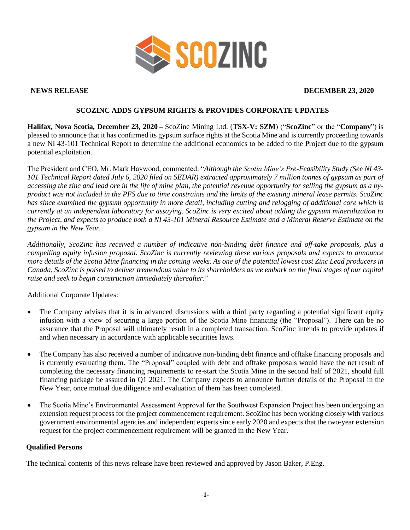

### **NEWS RELEASE DECEMBER 23, 2020**

# **SCOZINC ADDS GYPSUM RIGHTS & PROVIDES CORPORATE UPDATES**

**Halifax, Nova Scotia, December 23, 2020 –** ScoZinc Mining Ltd. (**TSX-V: SZM**) ("**ScoZinc**" or the "**Company**") is pleased to announce that it has confirmed its gypsum surface rights at the Scotia Mine and is currently proceeding towards a new NI 43-101 Technical Report to determine the additional economics to be added to the Project due to the gypsum potential exploitation.

The President and CEO, Mr. Mark Haywood, commented: "*Although the Scotia Mine's Pre-Feasibility Study (See NI 43- 101 Technical Report dated July 6, 2020 filed on SEDAR) extracted approximately 7 million tonnes of gypsum as part of accessing the zinc and lead ore in the life of mine plan, the potential revenue opportunity for selling the gypsum as a byproduct was not included in the PFS due to time constraints and the limits of the existing mineral lease permits. ScoZinc has since examined the gypsum opportunity in more detail, including cutting and relogging of additional core which is currently at an independent laboratory for assaying. ScoZinc is very excited about adding the gypsum mineralization to the Project, and expects to produce both a NI 43-101 Mineral Resource Estimate and a Mineral Reserve Estimate on the gypsum in the New Year.*

*Additionally, ScoZinc has received a number of indicative non-binding debt finance and off-take proposals, plus a compelling equity infusion proposal. ScoZinc is currently reviewing these various proposals and expects to announce more details of the Scotia Mine financing in the coming weeks. As one of the potential lowest cost Zinc Lead producers in Canada, ScoZinc is poised to deliver tremendous value to its shareholders as we embark on the final stages of our capital raise and seek to begin construction immediately thereafter."*

Additional Corporate Updates:

- The Company advises that it is in advanced discussions with a third party regarding a potential significant equity infusion with a view of securing a large portion of the Scotia Mine financing (the "Proposal"). There can be no assurance that the Proposal will ultimately result in a completed transaction. ScoZinc intends to provide updates if and when necessary in accordance with applicable securities laws.
- The Company has also received a number of indicative non-binding debt finance and offtake financing proposals and is currently evaluating them. The "Proposal" coupled with debt and offtake proposals would have the net result of completing the necessary financing requirements to re-start the Scotia Mine in the second half of 2021, should full financing package be assured in Q1 2021. The Company expects to announce further details of the Proposal in the New Year, once mutual due diligence and evaluation of them has been completed.
- The Scotia Mine's Environmental Assessment Approval for the Southwest Expansion Project has been undergoing an extension request process for the project commencement requirement. ScoZinc has been working closely with various government environmental agencies and independent experts since early 2020 and expects that the two-year extension request for the project commencement requirement will be granted in the New Year.

# **Qualified Persons**

The technical contents of this news release have been reviewed and approved by Jason Baker, P.Eng.